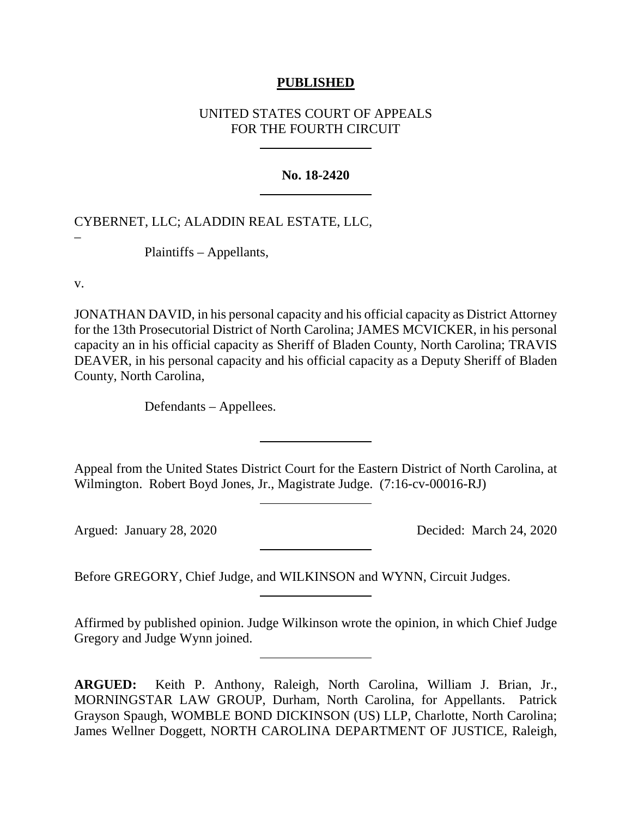## **PUBLISHED**

# UNITED STATES COURT OF APPEALS FOR THE FOURTH CIRCUIT

### **No. 18-2420**

# CYBERNET, LLC; ALADDIN REAL ESTATE, LLC,

Plaintiffs – Appellants,

v.

–

JONATHAN DAVID, in his personal capacity and his official capacity as District Attorney for the 13th Prosecutorial District of North Carolina; JAMES MCVICKER, in his personal capacity an in his official capacity as Sheriff of Bladen County, North Carolina; TRAVIS DEAVER, in his personal capacity and his official capacity as a Deputy Sheriff of Bladen County, North Carolina,

Defendants – Appellees.

Appeal from the United States District Court for the Eastern District of North Carolina, at Wilmington. Robert Boyd Jones, Jr., Magistrate Judge. (7:16-cv-00016-RJ)

Argued: January 28, 2020 Decided: March 24, 2020

Before GREGORY, Chief Judge, and WILKINSON and WYNN, Circuit Judges.

Affirmed by published opinion. Judge Wilkinson wrote the opinion, in which Chief Judge Gregory and Judge Wynn joined.

**ARGUED:** Keith P. Anthony, Raleigh, North Carolina, William J. Brian, Jr., MORNINGSTAR LAW GROUP, Durham, North Carolina, for Appellants. Patrick Grayson Spaugh, WOMBLE BOND DICKINSON (US) LLP, Charlotte, North Carolina; James Wellner Doggett, NORTH CAROLINA DEPARTMENT OF JUSTICE, Raleigh,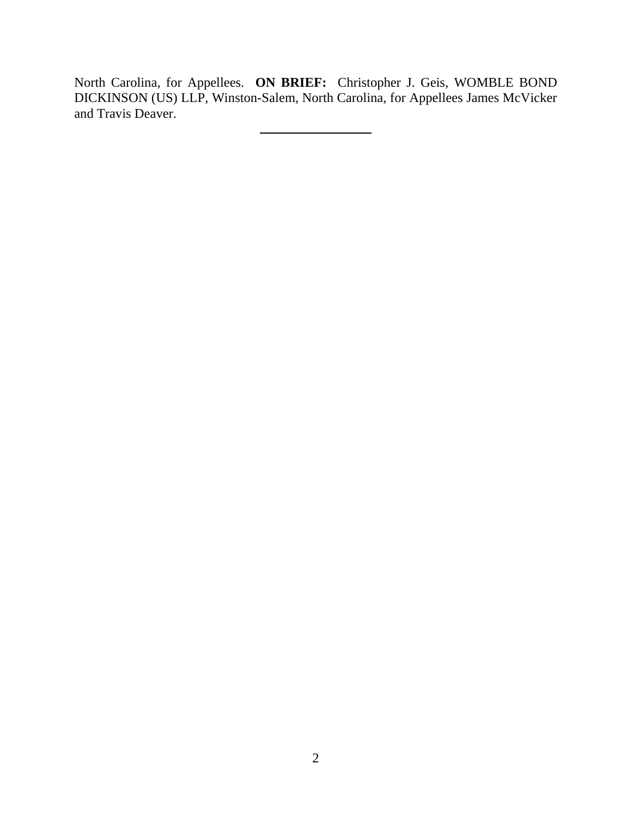North Carolina, for Appellees. **ON BRIEF:** Christopher J. Geis, WOMBLE BOND DICKINSON (US) LLP, Winston-Salem, North Carolina, for Appellees James McVicker and Travis Deaver.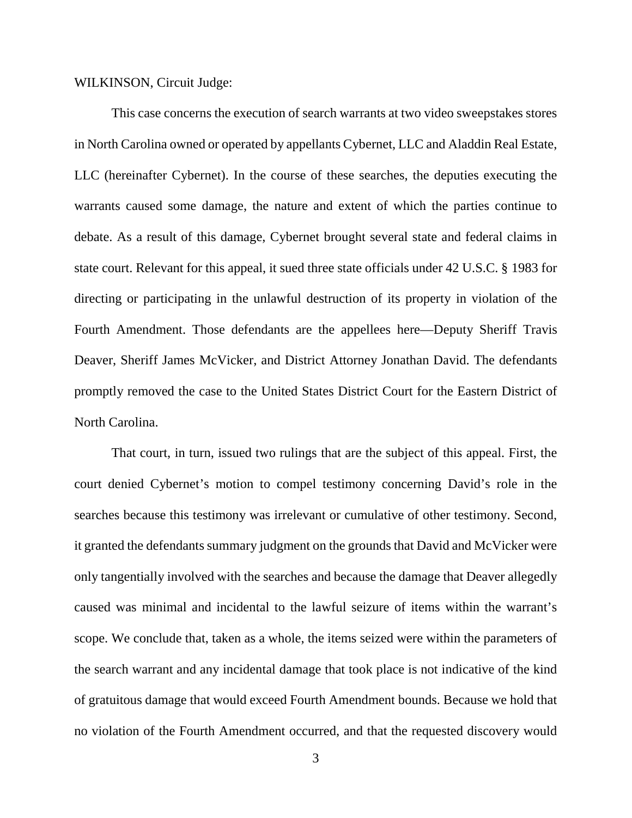WILKINSON, Circuit Judge:

This case concerns the execution of search warrants at two video sweepstakes stores in North Carolina owned or operated by appellants Cybernet, LLC and Aladdin Real Estate, LLC (hereinafter Cybernet). In the course of these searches, the deputies executing the warrants caused some damage, the nature and extent of which the parties continue to debate. As a result of this damage, Cybernet brought several state and federal claims in state court. Relevant for this appeal, it sued three state officials under 42 U.S.C. § 1983 for directing or participating in the unlawful destruction of its property in violation of the Fourth Amendment. Those defendants are the appellees here—Deputy Sheriff Travis Deaver, Sheriff James McVicker, and District Attorney Jonathan David. The defendants promptly removed the case to the United States District Court for the Eastern District of North Carolina.

That court, in turn, issued two rulings that are the subject of this appeal. First, the court denied Cybernet's motion to compel testimony concerning David's role in the searches because this testimony was irrelevant or cumulative of other testimony. Second, it granted the defendants summary judgment on the grounds that David and McVicker were only tangentially involved with the searches and because the damage that Deaver allegedly caused was minimal and incidental to the lawful seizure of items within the warrant's scope. We conclude that, taken as a whole, the items seized were within the parameters of the search warrant and any incidental damage that took place is not indicative of the kind of gratuitous damage that would exceed Fourth Amendment bounds. Because we hold that no violation of the Fourth Amendment occurred, and that the requested discovery would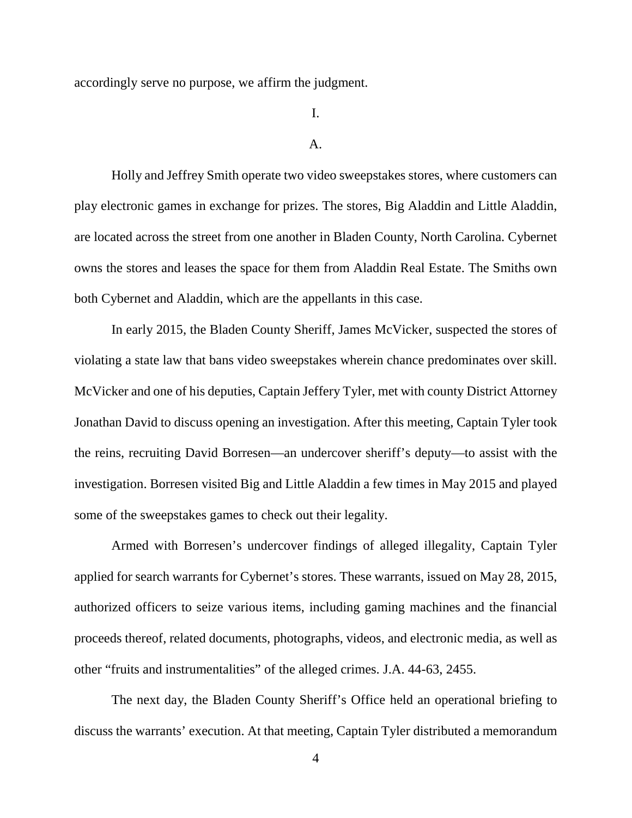accordingly serve no purpose, we affirm the judgment.

I.

#### A.

Holly and Jeffrey Smith operate two video sweepstakes stores, where customers can play electronic games in exchange for prizes. The stores, Big Aladdin and Little Aladdin, are located across the street from one another in Bladen County, North Carolina. Cybernet owns the stores and leases the space for them from Aladdin Real Estate. The Smiths own both Cybernet and Aladdin, which are the appellants in this case.

In early 2015, the Bladen County Sheriff, James McVicker, suspected the stores of violating a state law that bans video sweepstakes wherein chance predominates over skill. McVicker and one of his deputies, Captain Jeffery Tyler, met with county District Attorney Jonathan David to discuss opening an investigation. After this meeting, Captain Tyler took the reins, recruiting David Borresen—an undercover sheriff's deputy—to assist with the investigation. Borresen visited Big and Little Aladdin a few times in May 2015 and played some of the sweepstakes games to check out their legality.

Armed with Borresen's undercover findings of alleged illegality, Captain Tyler applied for search warrants for Cybernet's stores. These warrants, issued on May 28, 2015, authorized officers to seize various items, including gaming machines and the financial proceeds thereof, related documents, photographs, videos, and electronic media, as well as other "fruits and instrumentalities" of the alleged crimes. J.A. 44-63, 2455.

The next day, the Bladen County Sheriff's Office held an operational briefing to discuss the warrants' execution. At that meeting, Captain Tyler distributed a memorandum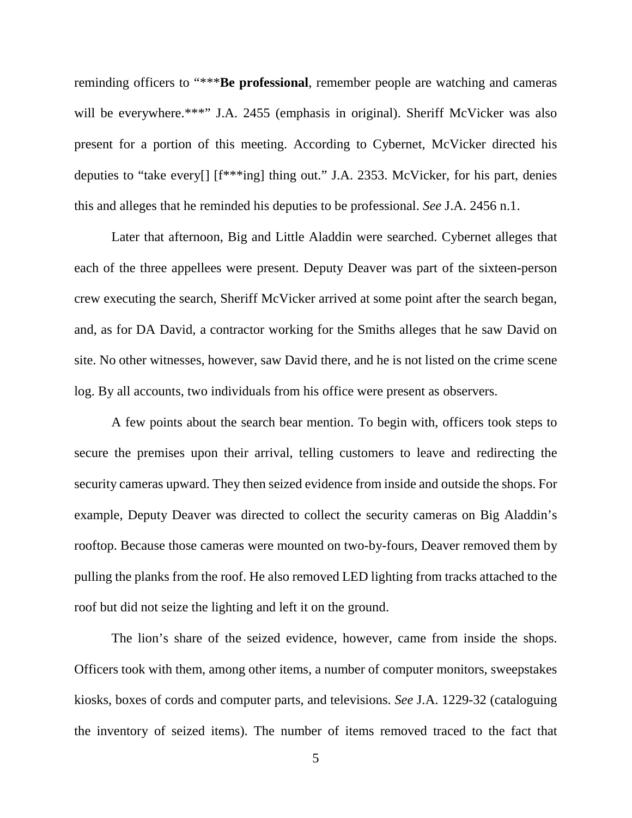reminding officers to "\*\*\***Be professional**, remember people are watching and cameras will be everywhere.\*\*\*" J.A. 2455 (emphasis in original). Sheriff McVicker was also present for a portion of this meeting. According to Cybernet, McVicker directed his deputies to "take every[] [f\*\*\*ing] thing out." J.A. 2353. McVicker, for his part, denies this and alleges that he reminded his deputies to be professional. *See* J.A. 2456 n.1.

Later that afternoon, Big and Little Aladdin were searched. Cybernet alleges that each of the three appellees were present. Deputy Deaver was part of the sixteen-person crew executing the search, Sheriff McVicker arrived at some point after the search began, and, as for DA David, a contractor working for the Smiths alleges that he saw David on site. No other witnesses, however, saw David there, and he is not listed on the crime scene log. By all accounts, two individuals from his office were present as observers.

A few points about the search bear mention. To begin with, officers took steps to secure the premises upon their arrival, telling customers to leave and redirecting the security cameras upward. They then seized evidence from inside and outside the shops. For example, Deputy Deaver was directed to collect the security cameras on Big Aladdin's rooftop. Because those cameras were mounted on two-by-fours, Deaver removed them by pulling the planks from the roof. He also removed LED lighting from tracks attached to the roof but did not seize the lighting and left it on the ground.

The lion's share of the seized evidence, however, came from inside the shops. Officers took with them, among other items, a number of computer monitors, sweepstakes kiosks, boxes of cords and computer parts, and televisions. *See* J.A. 1229-32 (cataloguing the inventory of seized items). The number of items removed traced to the fact that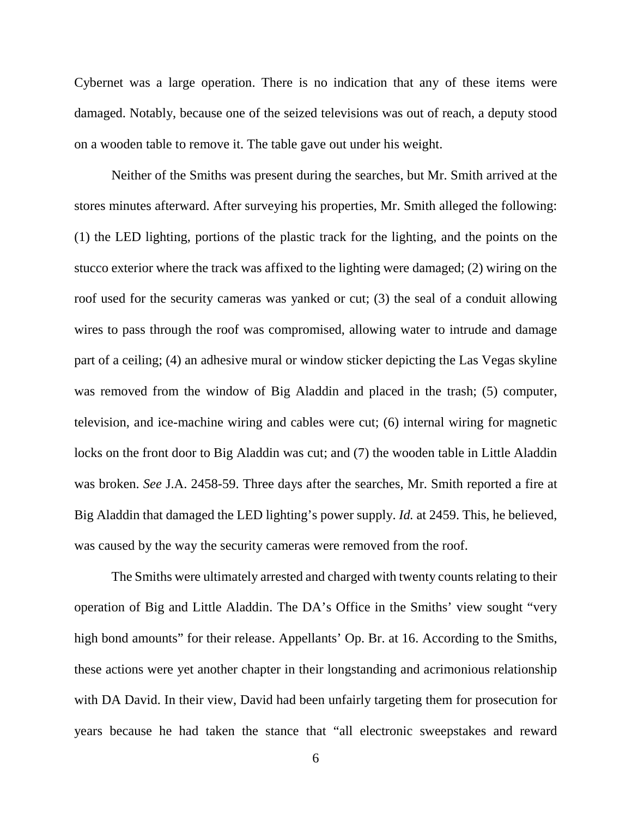Cybernet was a large operation. There is no indication that any of these items were damaged. Notably, because one of the seized televisions was out of reach, a deputy stood on a wooden table to remove it. The table gave out under his weight.

Neither of the Smiths was present during the searches, but Mr. Smith arrived at the stores minutes afterward. After surveying his properties, Mr. Smith alleged the following: (1) the LED lighting, portions of the plastic track for the lighting, and the points on the stucco exterior where the track was affixed to the lighting were damaged; (2) wiring on the roof used for the security cameras was yanked or cut; (3) the seal of a conduit allowing wires to pass through the roof was compromised, allowing water to intrude and damage part of a ceiling; (4) an adhesive mural or window sticker depicting the Las Vegas skyline was removed from the window of Big Aladdin and placed in the trash; (5) computer, television, and ice-machine wiring and cables were cut; (6) internal wiring for magnetic locks on the front door to Big Aladdin was cut; and (7) the wooden table in Little Aladdin was broken. *See* J.A. 2458-59. Three days after the searches, Mr. Smith reported a fire at Big Aladdin that damaged the LED lighting's power supply. *Id.* at 2459. This, he believed, was caused by the way the security cameras were removed from the roof.

The Smiths were ultimately arrested and charged with twenty counts relating to their operation of Big and Little Aladdin. The DA's Office in the Smiths' view sought "very high bond amounts" for their release. Appellants' Op. Br. at 16. According to the Smiths, these actions were yet another chapter in their longstanding and acrimonious relationship with DA David. In their view, David had been unfairly targeting them for prosecution for years because he had taken the stance that "all electronic sweepstakes and reward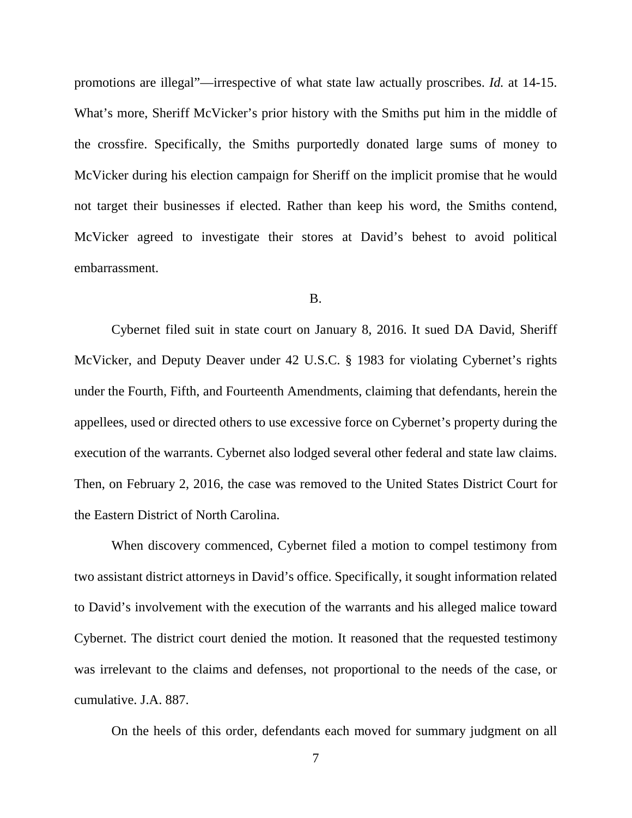promotions are illegal"—irrespective of what state law actually proscribes. *Id.* at 14-15. What's more, Sheriff McVicker's prior history with the Smiths put him in the middle of the crossfire. Specifically, the Smiths purportedly donated large sums of money to McVicker during his election campaign for Sheriff on the implicit promise that he would not target their businesses if elected. Rather than keep his word, the Smiths contend, McVicker agreed to investigate their stores at David's behest to avoid political embarrassment.

### B.

Cybernet filed suit in state court on January 8, 2016. It sued DA David, Sheriff McVicker, and Deputy Deaver under 42 U.S.C. § 1983 for violating Cybernet's rights under the Fourth, Fifth, and Fourteenth Amendments, claiming that defendants, herein the appellees, used or directed others to use excessive force on Cybernet's property during the execution of the warrants. Cybernet also lodged several other federal and state law claims. Then, on February 2, 2016, the case was removed to the United States District Court for the Eastern District of North Carolina.

When discovery commenced, Cybernet filed a motion to compel testimony from two assistant district attorneys in David's office. Specifically, it sought information related to David's involvement with the execution of the warrants and his alleged malice toward Cybernet. The district court denied the motion. It reasoned that the requested testimony was irrelevant to the claims and defenses, not proportional to the needs of the case, or cumulative. J.A. 887.

On the heels of this order, defendants each moved for summary judgment on all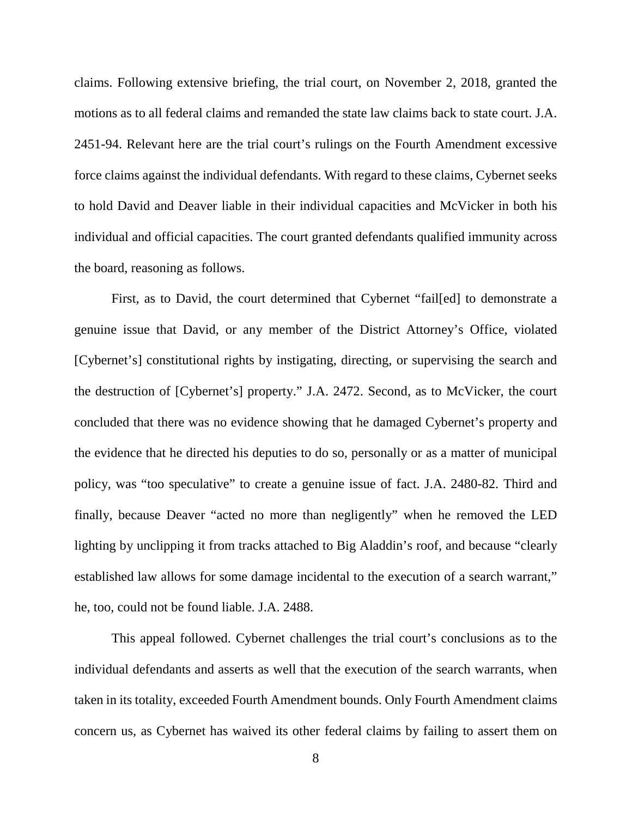claims. Following extensive briefing, the trial court, on November 2, 2018, granted the motions as to all federal claims and remanded the state law claims back to state court. J.A. 2451-94. Relevant here are the trial court's rulings on the Fourth Amendment excessive force claims against the individual defendants. With regard to these claims, Cybernet seeks to hold David and Deaver liable in their individual capacities and McVicker in both his individual and official capacities. The court granted defendants qualified immunity across the board, reasoning as follows.

First, as to David, the court determined that Cybernet "fail[ed] to demonstrate a genuine issue that David, or any member of the District Attorney's Office, violated [Cybernet's] constitutional rights by instigating, directing, or supervising the search and the destruction of [Cybernet's] property." J.A. 2472. Second, as to McVicker, the court concluded that there was no evidence showing that he damaged Cybernet's property and the evidence that he directed his deputies to do so, personally or as a matter of municipal policy, was "too speculative" to create a genuine issue of fact. J.A. 2480-82. Third and finally, because Deaver "acted no more than negligently" when he removed the LED lighting by unclipping it from tracks attached to Big Aladdin's roof, and because "clearly established law allows for some damage incidental to the execution of a search warrant," he, too, could not be found liable. J.A. 2488.

This appeal followed. Cybernet challenges the trial court's conclusions as to the individual defendants and asserts as well that the execution of the search warrants, when taken in its totality, exceeded Fourth Amendment bounds. Only Fourth Amendment claims concern us, as Cybernet has waived its other federal claims by failing to assert them on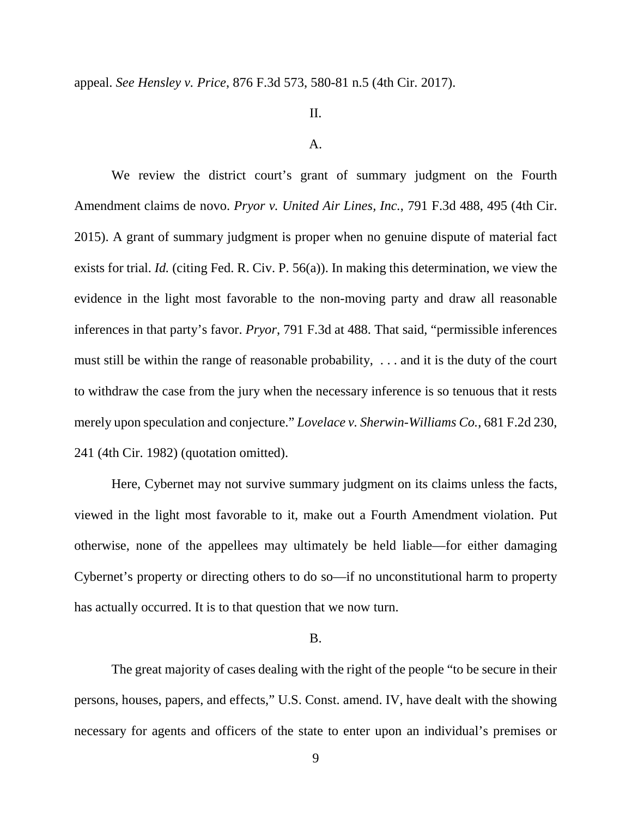appeal. *See Hensley v. Price*, 876 F.3d 573, 580-81 n.5 (4th Cir. 2017).

## II.

#### A.

We review the district court's grant of summary judgment on the Fourth Amendment claims de novo. *Pryor v. United Air Lines, Inc.*, 791 F.3d 488, 495 (4th Cir. 2015). A grant of summary judgment is proper when no genuine dispute of material fact exists for trial. *Id.* (citing Fed. R. Civ. P. 56(a)). In making this determination, we view the evidence in the light most favorable to the non-moving party and draw all reasonable inferences in that party's favor. *Pryor*, 791 F.3d at 488. That said, "permissible inferences must still be within the range of reasonable probability, . . . and it is the duty of the court to withdraw the case from the jury when the necessary inference is so tenuous that it rests merely upon speculation and conjecture." *Lovelace v. Sherwin-Williams Co.*, 681 F.2d 230, 241 (4th Cir. 1982) (quotation omitted).

Here, Cybernet may not survive summary judgment on its claims unless the facts, viewed in the light most favorable to it, make out a Fourth Amendment violation. Put otherwise, none of the appellees may ultimately be held liable—for either damaging Cybernet's property or directing others to do so—if no unconstitutional harm to property has actually occurred. It is to that question that we now turn.

### B.

The great majority of cases dealing with the right of the people "to be secure in their persons, houses, papers, and effects," U.S. Const. amend. IV, have dealt with the showing necessary for agents and officers of the state to enter upon an individual's premises or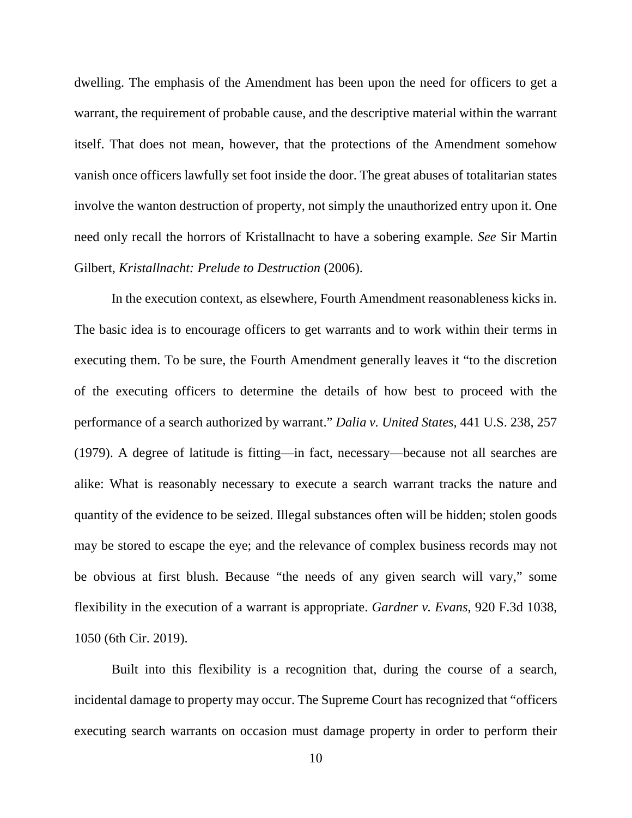dwelling. The emphasis of the Amendment has been upon the need for officers to get a warrant, the requirement of probable cause, and the descriptive material within the warrant itself. That does not mean, however, that the protections of the Amendment somehow vanish once officers lawfully set foot inside the door. The great abuses of totalitarian states involve the wanton destruction of property, not simply the unauthorized entry upon it. One need only recall the horrors of Kristallnacht to have a sobering example. *See* Sir Martin Gilbert, *Kristallnacht: Prelude to Destruction* (2006).

In the execution context, as elsewhere, Fourth Amendment reasonableness kicks in. The basic idea is to encourage officers to get warrants and to work within their terms in executing them. To be sure, the Fourth Amendment generally leaves it "to the discretion of the executing officers to determine the details of how best to proceed with the performance of a search authorized by warrant." *Dalia v. United States*, 441 U.S. 238, 257 (1979). A degree of latitude is fitting—in fact, necessary—because not all searches are alike: What is reasonably necessary to execute a search warrant tracks the nature and quantity of the evidence to be seized. Illegal substances often will be hidden; stolen goods may be stored to escape the eye; and the relevance of complex business records may not be obvious at first blush. Because "the needs of any given search will vary," some flexibility in the execution of a warrant is appropriate. *Gardner v. Evans*, 920 F.3d 1038, 1050 (6th Cir. 2019).

Built into this flexibility is a recognition that, during the course of a search, incidental damage to property may occur. The Supreme Court has recognized that "officers executing search warrants on occasion must damage property in order to perform their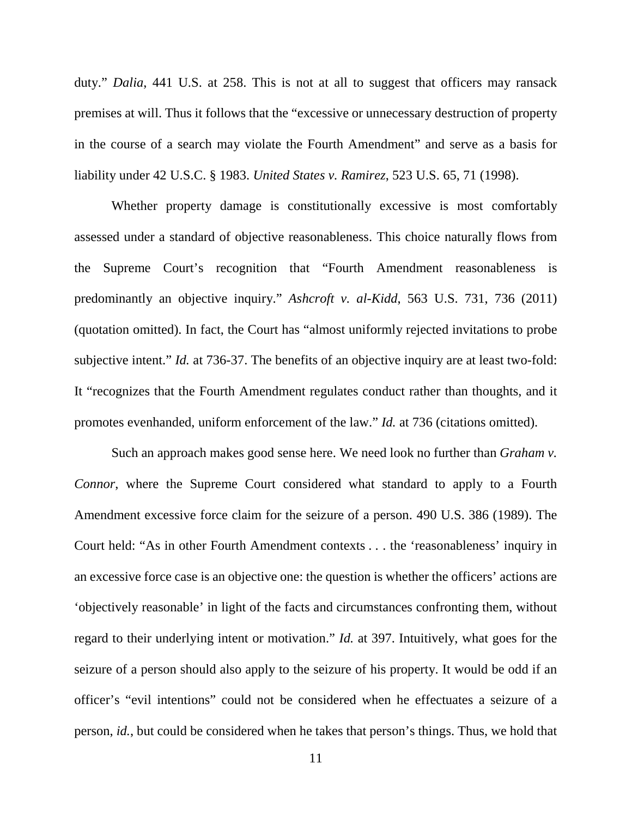duty." *Dalia*, 441 U.S. at 258. This is not at all to suggest that officers may ransack premises at will. Thus it follows that the "excessive or unnecessary destruction of property in the course of a search may violate the Fourth Amendment" and serve as a basis for liability under 42 U.S.C. § 1983. *United States v. Ramirez*, 523 U.S. 65, 71 (1998).

Whether property damage is constitutionally excessive is most comfortably assessed under a standard of objective reasonableness. This choice naturally flows from the Supreme Court's recognition that "Fourth Amendment reasonableness is predominantly an objective inquiry." *Ashcroft v. al-Kidd*, 563 U.S. 731, 736 (2011) (quotation omitted). In fact, the Court has "almost uniformly rejected invitations to probe subjective intent." *Id.* at 736-37. The benefits of an objective inquiry are at least two-fold: It "recognizes that the Fourth Amendment regulates conduct rather than thoughts, and it promotes evenhanded, uniform enforcement of the law." *Id.* at 736 (citations omitted).

Such an approach makes good sense here. We need look no further than *Graham v. Connor*, where the Supreme Court considered what standard to apply to a Fourth Amendment excessive force claim for the seizure of a person. 490 U.S. 386 (1989). The Court held: "As in other Fourth Amendment contexts . . . the 'reasonableness' inquiry in an excessive force case is an objective one: the question is whether the officers' actions are 'objectively reasonable' in light of the facts and circumstances confronting them, without regard to their underlying intent or motivation." *Id.* at 397. Intuitively, what goes for the seizure of a person should also apply to the seizure of his property. It would be odd if an officer's "evil intentions" could not be considered when he effectuates a seizure of a person, *id.*, but could be considered when he takes that person's things. Thus, we hold that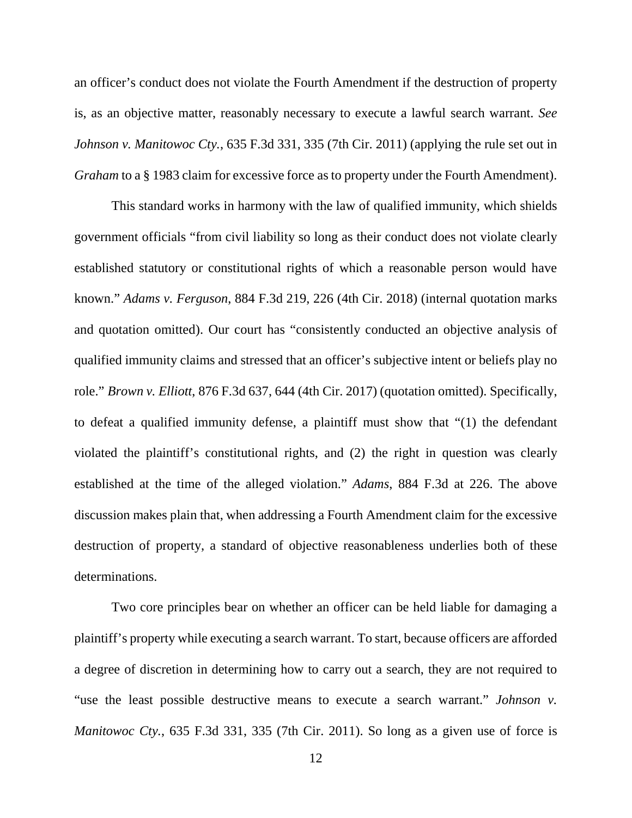an officer's conduct does not violate the Fourth Amendment if the destruction of property is, as an objective matter, reasonably necessary to execute a lawful search warrant. *See Johnson v. Manitowoc Cty.*, 635 F.3d 331, 335 (7th Cir. 2011) (applying the rule set out in *Graham* to a § 1983 claim for excessive force as to property under the Fourth Amendment).

This standard works in harmony with the law of qualified immunity, which shields government officials "from civil liability so long as their conduct does not violate clearly established statutory or constitutional rights of which a reasonable person would have known." *Adams v. Ferguson*, 884 F.3d 219, 226 (4th Cir. 2018) (internal quotation marks and quotation omitted). Our court has "consistently conducted an objective analysis of qualified immunity claims and stressed that an officer's subjective intent or beliefs play no role." *Brown v. Elliott*, 876 F.3d 637, 644 (4th Cir. 2017) (quotation omitted). Specifically, to defeat a qualified immunity defense, a plaintiff must show that "(1) the defendant violated the plaintiff's constitutional rights, and (2) the right in question was clearly established at the time of the alleged violation." *Adams*, 884 F.3d at 226. The above discussion makes plain that, when addressing a Fourth Amendment claim for the excessive destruction of property, a standard of objective reasonableness underlies both of these determinations.

Two core principles bear on whether an officer can be held liable for damaging a plaintiff's property while executing a search warrant. To start, because officers are afforded a degree of discretion in determining how to carry out a search, they are not required to "use the least possible destructive means to execute a search warrant." *Johnson v. Manitowoc Cty.*, 635 F.3d 331, 335 (7th Cir. 2011). So long as a given use of force is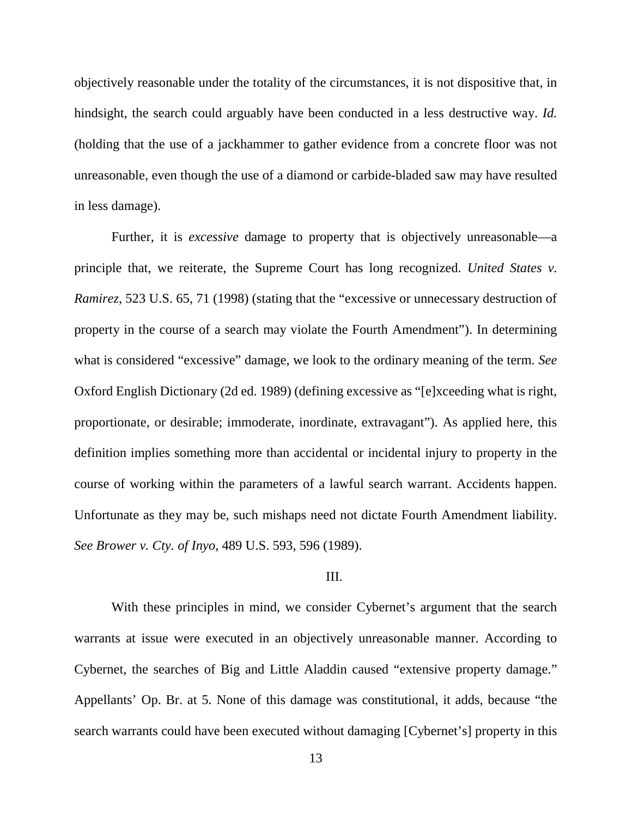objectively reasonable under the totality of the circumstances, it is not dispositive that, in hindsight, the search could arguably have been conducted in a less destructive way. *Id.*  (holding that the use of a jackhammer to gather evidence from a concrete floor was not unreasonable, even though the use of a diamond or carbide-bladed saw may have resulted in less damage).

Further, it is *excessive* damage to property that is objectively unreasonable—a principle that, we reiterate, the Supreme Court has long recognized. *United States v. Ramirez*, 523 U.S. 65, 71 (1998) (stating that the "excessive or unnecessary destruction of property in the course of a search may violate the Fourth Amendment"). In determining what is considered "excessive" damage, we look to the ordinary meaning of the term. *See*  Oxford English Dictionary (2d ed. 1989) (defining excessive as "[e]xceeding what is right, proportionate, or desirable; immoderate, inordinate, extravagant"). As applied here, this definition implies something more than accidental or incidental injury to property in the course of working within the parameters of a lawful search warrant. Accidents happen. Unfortunate as they may be, such mishaps need not dictate Fourth Amendment liability. *See Brower v. Cty. of Inyo*, 489 U.S. 593, 596 (1989).

### III.

With these principles in mind, we consider Cybernet's argument that the search warrants at issue were executed in an objectively unreasonable manner. According to Cybernet, the searches of Big and Little Aladdin caused "extensive property damage." Appellants' Op. Br. at 5. None of this damage was constitutional, it adds, because "the search warrants could have been executed without damaging [Cybernet's] property in this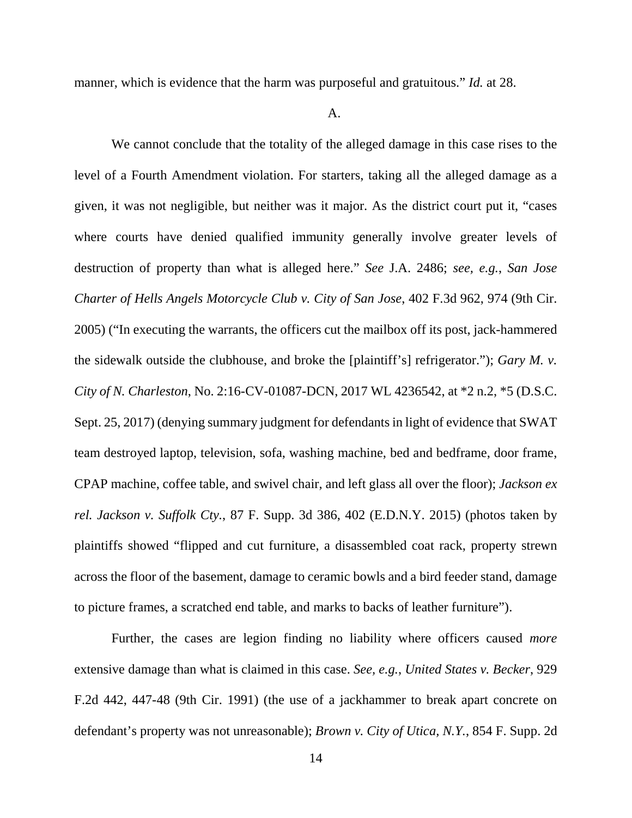manner, which is evidence that the harm was purposeful and gratuitous." *Id.* at 28.

A.

We cannot conclude that the totality of the alleged damage in this case rises to the level of a Fourth Amendment violation. For starters, taking all the alleged damage as a given, it was not negligible, but neither was it major. As the district court put it, "cases where courts have denied qualified immunity generally involve greater levels of destruction of property than what is alleged here." *See* J.A. 2486; *see, e.g.*, *San Jose Charter of Hells Angels Motorcycle Club v. City of San Jose*, 402 F.3d 962, 974 (9th Cir. 2005) ("In executing the warrants, the officers cut the mailbox off its post, jack-hammered the sidewalk outside the clubhouse, and broke the [plaintiff's] refrigerator."); *Gary M. v. City of N. Charleston*, No. 2:16-CV-01087-DCN, 2017 WL 4236542, at \*2 n.2, \*5 (D.S.C. Sept. 25, 2017) (denying summary judgment for defendants in light of evidence that SWAT team destroyed laptop, television, sofa, washing machine, bed and bedframe, door frame, CPAP machine, coffee table, and swivel chair, and left glass all over the floor); *Jackson ex rel. Jackson v. Suffolk Cty.*, 87 F. Supp. 3d 386, 402 (E.D.N.Y. 2015) (photos taken by plaintiffs showed "flipped and cut furniture, a disassembled coat rack, property strewn across the floor of the basement, damage to ceramic bowls and a bird feeder stand, damage to picture frames, a scratched end table, and marks to backs of leather furniture").

Further, the cases are legion finding no liability where officers caused *more* extensive damage than what is claimed in this case. *See, e.g.*, *United States v. Becker*, 929 F.2d 442, 447-48 (9th Cir. 1991) (the use of a jackhammer to break apart concrete on defendant's property was not unreasonable); *Brown v. City of Utica, N.Y.*, 854 F. Supp. 2d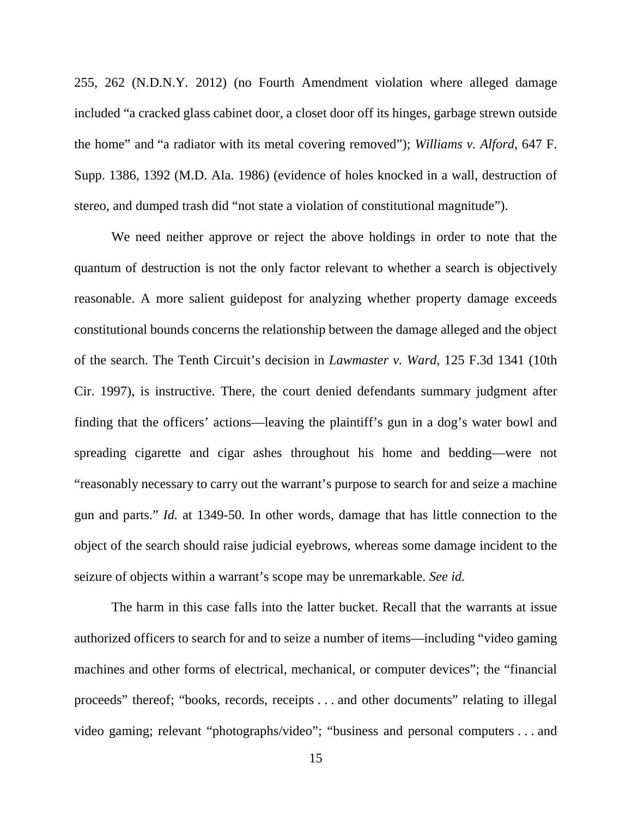255, 262 (N.D.N.Y. 2012) (no Fourth Amendment violation where alleged damage included "a cracked glass cabinet door, a closet door off its hinges, garbage strewn outside the home" and "a radiator with its metal covering removed"); *Williams v. Alford*, 647 F. Supp. 1386, 1392 (M.D. Ala. 1986) (evidence of holes knocked in a wall, destruction of stereo, and dumped trash did "not state a violation of constitutional magnitude").

We need neither approve or reject the above holdings in order to note that the quantum of destruction is not the only factor relevant to whether a search is objectively reasonable. A more salient guidepost for analyzing whether property damage exceeds constitutional bounds concerns the relationship between the damage alleged and the object of the search. The Tenth Circuit's decision in *Lawmaster v. Ward*, 125 F.3d 1341 (10th Cir. 1997), is instructive. There, the court denied defendants summary judgment after finding that the officers' actions—leaving the plaintiff's gun in a dog's water bowl and spreading cigarette and cigar ashes throughout his home and bedding—were not "reasonably necessary to carry out the warrant's purpose to search for and seize a machine gun and parts." *Id.* at 1349-50. In other words, damage that has little connection to the object of the search should raise judicial eyebrows, whereas some damage incident to the seizure of objects within a warrant's scope may be unremarkable. *See id.*

The harm in this case falls into the latter bucket. Recall that the warrants at issue authorized officers to search for and to seize a number of items—including "video gaming machines and other forms of electrical, mechanical, or computer devices"; the "financial proceeds" thereof; "books, records, receipts . . . and other documents" relating to illegal video gaming; relevant "photographs/video"; "business and personal computers . . . and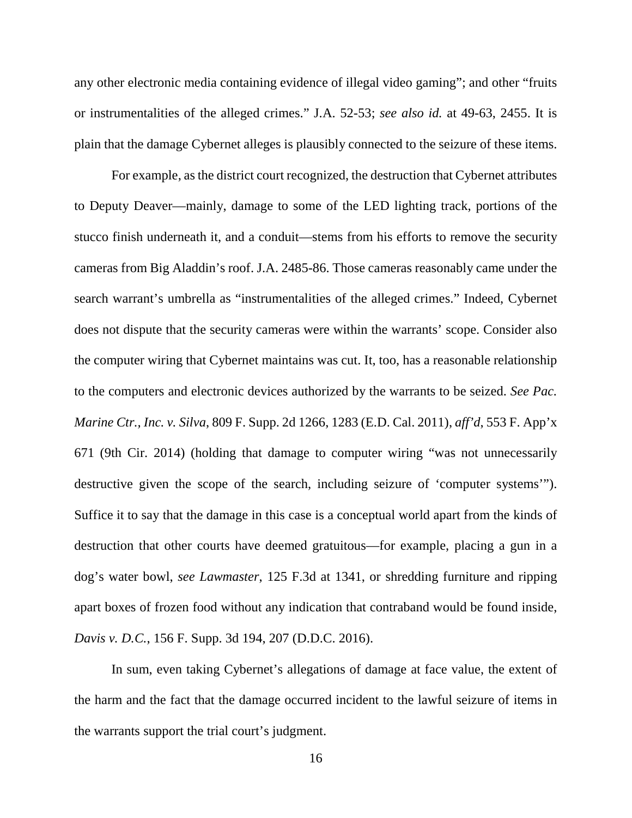any other electronic media containing evidence of illegal video gaming"; and other "fruits or instrumentalities of the alleged crimes." J.A. 52-53; *see also id.* at 49-63, 2455. It is plain that the damage Cybernet alleges is plausibly connected to the seizure of these items.

For example, as the district court recognized, the destruction that Cybernet attributes to Deputy Deaver—mainly, damage to some of the LED lighting track, portions of the stucco finish underneath it, and a conduit—stems from his efforts to remove the security cameras from Big Aladdin's roof. J.A. 2485-86. Those cameras reasonably came under the search warrant's umbrella as "instrumentalities of the alleged crimes." Indeed, Cybernet does not dispute that the security cameras were within the warrants' scope. Consider also the computer wiring that Cybernet maintains was cut. It, too, has a reasonable relationship to the computers and electronic devices authorized by the warrants to be seized. *See Pac. Marine Ctr., Inc. v. Silva*, 809 F. Supp. 2d 1266, 1283 (E.D. Cal. 2011), *aff'd*, 553 F. App'x 671 (9th Cir. 2014) (holding that damage to computer wiring "was not unnecessarily destructive given the scope of the search, including seizure of 'computer systems'"). Suffice it to say that the damage in this case is a conceptual world apart from the kinds of destruction that other courts have deemed gratuitous—for example, placing a gun in a dog's water bowl, *see Lawmaster*, 125 F.3d at 1341, or shredding furniture and ripping apart boxes of frozen food without any indication that contraband would be found inside, *Davis v. D.C.*, 156 F. Supp. 3d 194, 207 (D.D.C. 2016).

In sum, even taking Cybernet's allegations of damage at face value, the extent of the harm and the fact that the damage occurred incident to the lawful seizure of items in the warrants support the trial court's judgment.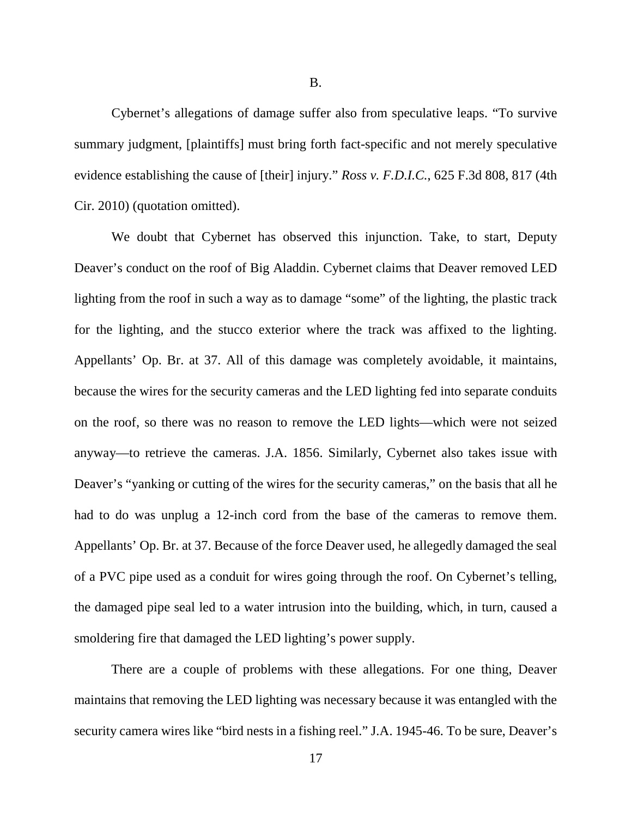B.

Cybernet's allegations of damage suffer also from speculative leaps. "To survive summary judgment, [plaintiffs] must bring forth fact-specific and not merely speculative evidence establishing the cause of [their] injury." *Ross v. F.D.I.C.*, 625 F.3d 808, 817 (4th Cir. 2010) (quotation omitted).

We doubt that Cybernet has observed this injunction. Take, to start, Deputy Deaver's conduct on the roof of Big Aladdin. Cybernet claims that Deaver removed LED lighting from the roof in such a way as to damage "some" of the lighting, the plastic track for the lighting, and the stucco exterior where the track was affixed to the lighting. Appellants' Op. Br. at 37. All of this damage was completely avoidable, it maintains, because the wires for the security cameras and the LED lighting fed into separate conduits on the roof, so there was no reason to remove the LED lights—which were not seized anyway—to retrieve the cameras. J.A. 1856. Similarly, Cybernet also takes issue with Deaver's "yanking or cutting of the wires for the security cameras," on the basis that all he had to do was unplug a 12-inch cord from the base of the cameras to remove them. Appellants' Op. Br. at 37. Because of the force Deaver used, he allegedly damaged the seal of a PVC pipe used as a conduit for wires going through the roof. On Cybernet's telling, the damaged pipe seal led to a water intrusion into the building, which, in turn, caused a smoldering fire that damaged the LED lighting's power supply.

There are a couple of problems with these allegations. For one thing, Deaver maintains that removing the LED lighting was necessary because it was entangled with the security camera wires like "bird nests in a fishing reel." J.A. 1945-46. To be sure, Deaver's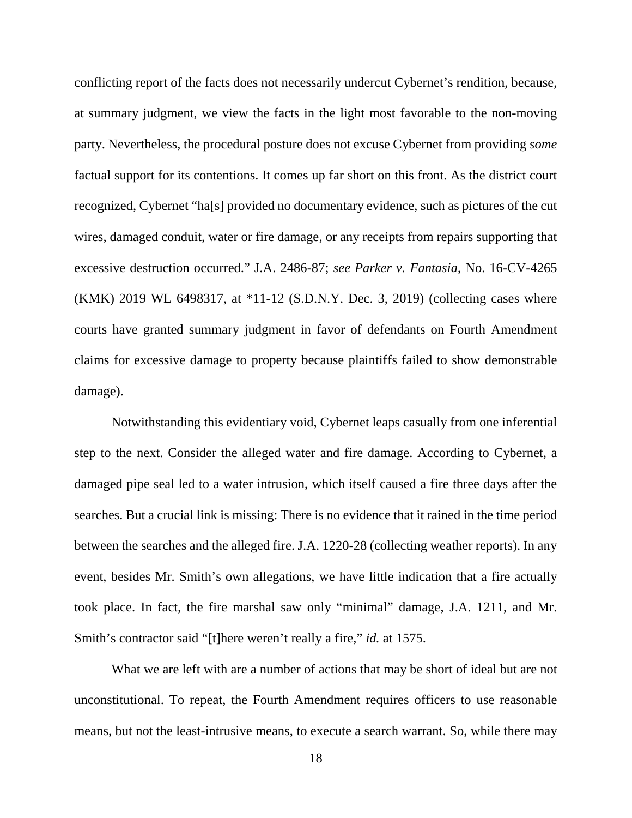conflicting report of the facts does not necessarily undercut Cybernet's rendition, because, at summary judgment, we view the facts in the light most favorable to the non-moving party. Nevertheless, the procedural posture does not excuse Cybernet from providing *some*  factual support for its contentions. It comes up far short on this front. As the district court recognized, Cybernet "ha[s] provided no documentary evidence, such as pictures of the cut wires, damaged conduit, water or fire damage, or any receipts from repairs supporting that excessive destruction occurred." J.A. 2486-87; *see Parker v. Fantasia*, No. 16-CV-4265 (KMK) 2019 WL 6498317, at \*11-12 (S.D.N.Y. Dec. 3, 2019) (collecting cases where courts have granted summary judgment in favor of defendants on Fourth Amendment claims for excessive damage to property because plaintiffs failed to show demonstrable damage).

Notwithstanding this evidentiary void, Cybernet leaps casually from one inferential step to the next. Consider the alleged water and fire damage. According to Cybernet, a damaged pipe seal led to a water intrusion, which itself caused a fire three days after the searches. But a crucial link is missing: There is no evidence that it rained in the time period between the searches and the alleged fire. J.A. 1220-28 (collecting weather reports). In any event, besides Mr. Smith's own allegations, we have little indication that a fire actually took place. In fact, the fire marshal saw only "minimal" damage, J.A. 1211, and Mr. Smith's contractor said "[t]here weren't really a fire," *id.* at 1575.

What we are left with are a number of actions that may be short of ideal but are not unconstitutional. To repeat, the Fourth Amendment requires officers to use reasonable means, but not the least-intrusive means, to execute a search warrant. So, while there may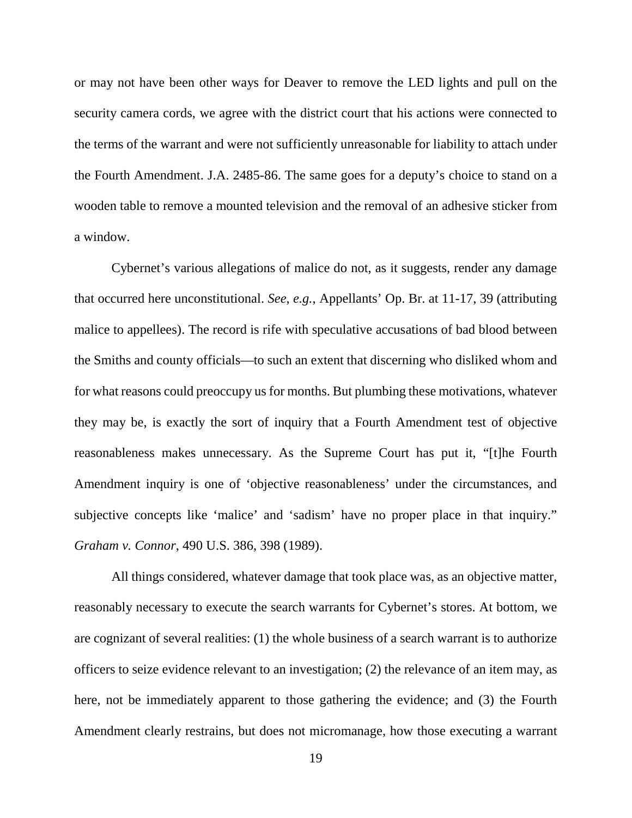or may not have been other ways for Deaver to remove the LED lights and pull on the security camera cords, we agree with the district court that his actions were connected to the terms of the warrant and were not sufficiently unreasonable for liability to attach under the Fourth Amendment. J.A. 2485-86. The same goes for a deputy's choice to stand on a wooden table to remove a mounted television and the removal of an adhesive sticker from a window.

Cybernet's various allegations of malice do not, as it suggests, render any damage that occurred here unconstitutional. *See, e.g.*, Appellants' Op. Br. at 11-17, 39 (attributing malice to appellees). The record is rife with speculative accusations of bad blood between the Smiths and county officials—to such an extent that discerning who disliked whom and for what reasons could preoccupy us for months. But plumbing these motivations, whatever they may be, is exactly the sort of inquiry that a Fourth Amendment test of objective reasonableness makes unnecessary. As the Supreme Court has put it, "[t]he Fourth Amendment inquiry is one of 'objective reasonableness' under the circumstances, and subjective concepts like 'malice' and 'sadism' have no proper place in that inquiry." *Graham v. Connor*, 490 U.S. 386, 398 (1989).

All things considered, whatever damage that took place was, as an objective matter, reasonably necessary to execute the search warrants for Cybernet's stores. At bottom, we are cognizant of several realities: (1) the whole business of a search warrant is to authorize officers to seize evidence relevant to an investigation; (2) the relevance of an item may, as here, not be immediately apparent to those gathering the evidence; and (3) the Fourth Amendment clearly restrains, but does not micromanage, how those executing a warrant